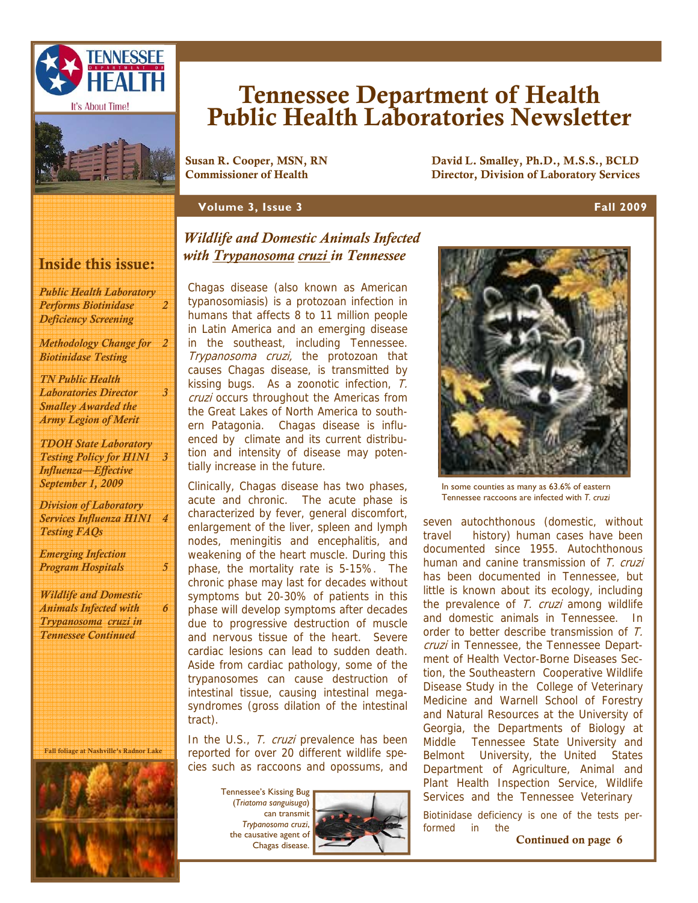



# Tennessee Department of Health Public Health Laboratories Newsletter

Susan R. Cooper, MSN, RN David L. Smalley, Ph.D., M.S.S., BCLD Director, Division of Laboratory Services

#### **Volume 3, Issue 3 Fall 2009**

#### Inside this issue:

*Public Health Laboratory Performs Biotinidase Deficiency Screening* 

*2* 

*3* 

*6* 

*Methodology Change for 2 Biotinidase Testing* 

*TN Public Health Laboratories Director Smalley Awarded the Army Legion of Merit* 

*TDOH State Laboratory Testing Policy for H1N1 3 Influenza—Effective September 1, 2009* 

*Division of Laboratory Services Influenza H1N1 4 Testing FAQs* 

*Emerging Infection Program Hospitals 5* 

*Wildlife and Domestic Animals Infected with Trypanosoma cruzi in Tennessee Continued* 

Fall foliage at Nashville's Radnor Lake



#### *Wildlife and Domestic Animals Infected with Trypanosoma cruzi in Tennessee*

Chagas disease (also known as American typanosomiasis) is a protozoan infection in humans that affects 8 to 11 million people in Latin America and an emerging disease in the southeast, including Tennessee. Trypanosoma cruzi, the protozoan that causes Chagas disease, is transmitted by kissing bugs. As a zoonotic infection, T. cruzi occurs throughout the Americas from the Great Lakes of North America to southern Patagonia. Chagas disease is influenced by climate and its current distribution and intensity of disease may potentially increase in the future.

Clinically, Chagas disease has two phases, acute and chronic. The acute phase is characterized by fever, general discomfort, enlargement of the liver, spleen and lymph nodes, meningitis and encephalitis, and weakening of the heart muscle. During this phase, the mortality rate is 5-15%. The chronic phase may last for decades without symptoms but 20-30% of patients in this phase will develop symptoms after decades due to progressive destruction of muscle and nervous tissue of the heart. Severe cardiac lesions can lead to sudden death. Aside from cardiac pathology, some of the trypanosomes can cause destruction of intestinal tissue, causing intestinal megasyndromes (gross dilation of the intestinal tract).

In the U.S., T. cruzi prevalence has been reported for over 20 different wildlife species such as raccoons and opossums, and

> Tennessee's Kissing Bug (*Triatoma sanguisuga*) can transmit *Trypanosoma cruzi*, the causative agent of Chagas disease.





In some counties as many as 63.6% of eastern Tennessee raccoons are infected with *T. cruzi* 

seven autochthonous (domestic, without travel history) human cases have been documented since 1955. Autochthonous human and canine transmission of T. cruzi has been documented in Tennessee, but little is known about its ecology, including the prevalence of  $T_r$  cruzi among wildlife and domestic animals in Tennessee. In order to better describe transmission of T. cruzi in Tennessee, the Tennessee Department of Health Vector-Borne Diseases Section, the Southeastern Cooperative Wildlife Disease Study in the College of Veterinary Medicine and Warnell School of Forestry and Natural Resources at the University of Georgia, the Departments of Biology at Middle Tennessee State University and Belmont University, the United States Department of Agriculture, Animal and Plant Health Inspection Service, Wildlife Services and the Tennessee Veterinary

Biotinidase deficiency is one of the tests performed in the

Continued on page 6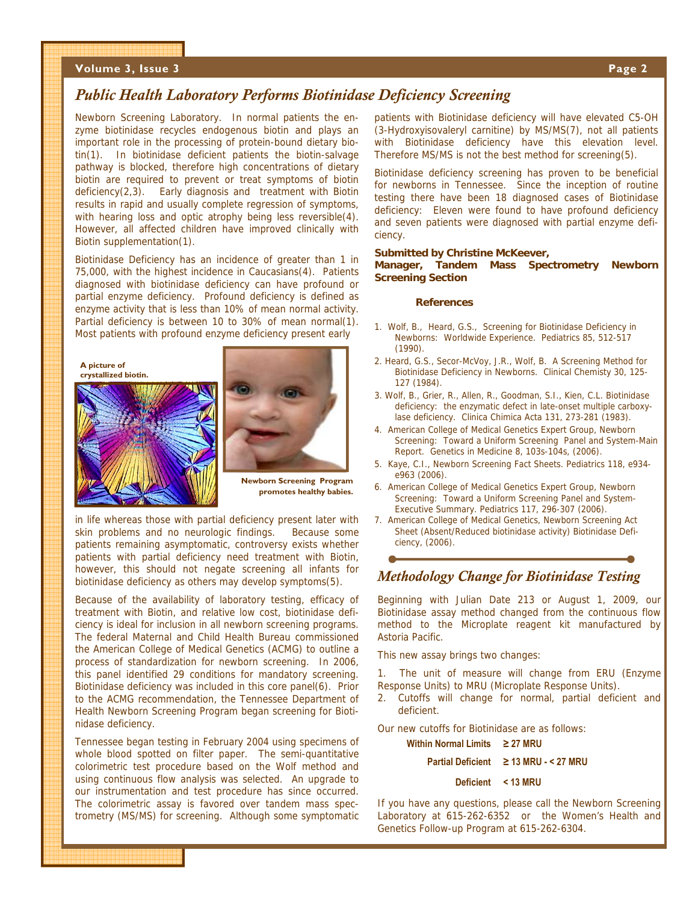#### **Volume 3, Issue 3 Page 2**

#### *Public Health Laboratory Performs Biotinidase Deficiency Screening*

Newborn Screening Laboratory. In normal patients the enzyme biotinidase recycles endogenous biotin and plays an important role in the processing of protein-bound dietary biotin(1). In biotinidase deficient patients the biotin-salvage pathway is blocked, therefore high concentrations of dietary biotin are required to prevent or treat symptoms of biotin deficiency(2,3). Early diagnosis and treatment with Biotin results in rapid and usually complete regression of symptoms, with hearing loss and optic atrophy being less reversible(4). However, all affected children have improved clinically with Biotin supplementation(1).

Biotinidase Deficiency has an incidence of greater than 1 in 75,000, with the highest incidence in Caucasians(4). Patients diagnosed with biotinidase deficiency can have profound or partial enzyme deficiency. Profound deficiency is defined as enzyme activity that is less than 10% of mean normal activity. Partial deficiency is between 10 to 30% of mean normal(1). Most patients with profound enzyme deficiency present early





**Newborn Screening Program promotes healthy babies.** 

in life whereas those with partial deficiency present later with skin problems and no neurologic findings. Because some patients remaining asymptomatic, controversy exists whether patients with partial deficiency need treatment with Biotin, however, this should not negate screening all infants for biotinidase deficiency as others may develop symptoms(5).

Because of the availability of laboratory testing, efficacy of treatment with Biotin, and relative low cost, biotinidase deficiency is ideal for inclusion in all newborn screening programs. The federal Maternal and Child Health Bureau commissioned the American College of Medical Genetics (ACMG) to outline a process of standardization for newborn screening. In 2006, this panel identified 29 conditions for mandatory screening. Biotinidase deficiency was included in this core panel(6). Prior to the ACMG recommendation, the Tennessee Department of Health Newborn Screening Program began screening for Biotinidase deficiency.

Tennessee began testing in February 2004 using specimens of whole blood spotted on filter paper. The semi-quantitative colorimetric test procedure based on the Wolf method and using continuous flow analysis was selected. An upgrade to our instrumentation and test procedure has since occurred. The colorimetric assay is favored over tandem mass spectrometry (MS/MS) for screening. Although some symptomatic

patients with Biotinidase deficiency will have elevated C5-OH (3-Hydroxyisovaleryl carnitine) by MS/MS(7), not all patients with Biotinidase deficiency have this elevation level. Therefore MS/MS is not the best method for screening(5).

Biotinidase deficiency screening has proven to be beneficial for newborns in Tennessee. Since the inception of routine testing there have been 18 diagnosed cases of Biotinidase deficiency: Eleven were found to have profound deficiency and seven patients were diagnosed with partial enzyme deficiency.

#### **Submitted by Christine McKeever,**

**Manager, Tandem Mass Spectrometry Newborn Screening Section** 

#### **References**

- 1. Wolf, B., Heard, G.S., Screening for Biotinidase Deficiency in Newborns: Worldwide Experience. Pediatrics 85, 512-517 (1990).
- 2. Heard, G.S., Secor-McVoy, J.R., Wolf, B. A Screening Method for Biotinidase Deficiency in Newborns. Clinical Chemisty 30, 125- 127 (1984).
- 3. Wolf, B., Grier, R., Allen, R., Goodman, S.I., Kien, C.L. Biotinidase deficiency: the enzymatic defect in late-onset multiple carboxylase deficiency. Clinica Chimica Acta 131, 273-281 (1983).
- 4. American College of Medical Genetics Expert Group, Newborn Screening: Toward a Uniform Screening Panel and System-Main Report. Genetics in Medicine 8, 103s-104s, (2006).
- 5. Kaye, C.I., Newborn Screening Fact Sheets. Pediatrics 118, e934 e963 (2006).
- 6. American College of Medical Genetics Expert Group, Newborn Screening: Toward a Uniform Screening Panel and System-Executive Summary. Pediatrics 117, 296-307 (2006).
- 7. American College of Medical Genetics, Newborn Screening Act Sheet (Absent/Reduced biotinidase activity) Biotinidase Deficiency, (2006).

#### *Methodology Change for Biotinidase Testing*

Beginning with Julian Date 213 or August 1, 2009, our Biotinidase assay method changed from the continuous flow method to the Microplate reagent kit manufactured by Astoria Pacific.

This new assay brings two changes:

1. The unit of measure will change from ERU (Enzyme Response Units) to MRU (Microplate Response Units).

2. Cutoffs will change for normal, partial deficient and deficient.

Our new cutoffs for Biotinidase are as follows:

#### **Within Normal Limits ≥ 27 MRU**

#### **Partial Deficient ≥ 13 MRU - < 27 MRU**

#### **Deficient < 13 MRU**

If you have any questions, please call the Newborn Screening Laboratory at 615-262-6352 or the Women's Health and Genetics Follow-up Program at 615-262-6304.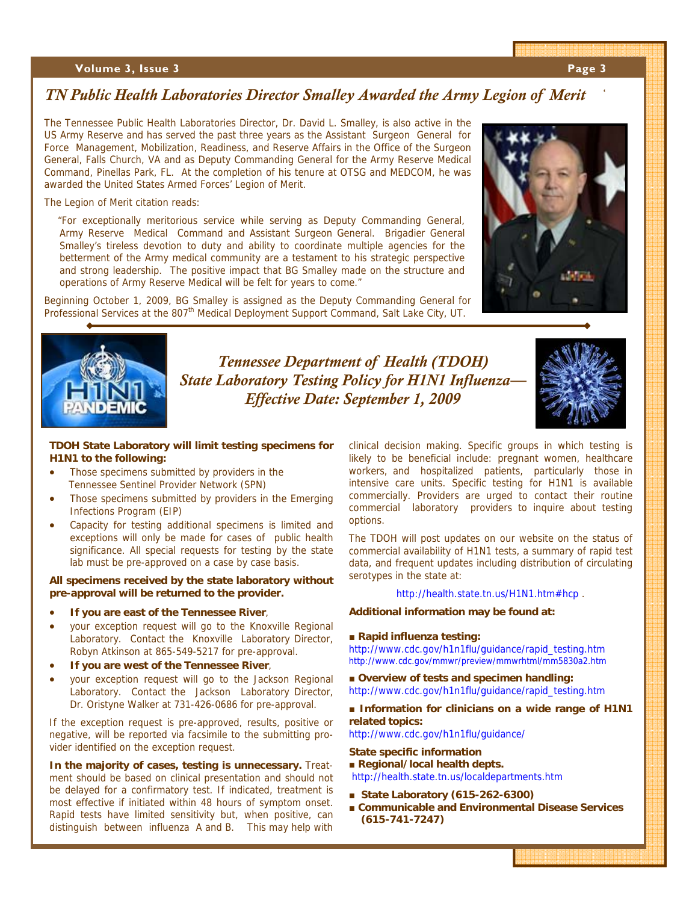#### **Volume 3, Issue 3**

### *TN Public Health Laboratories Director Smalley Awarded the Army Legion of Merit*

The Tennessee Public Health Laboratories Director, Dr. David L. Smalley, is also active in the US Army Reserve and has served the past three years as the Assistant Surgeon General for Force Management, Mobilization, Readiness, and Reserve Affairs in the Office of the Surgeon General, Falls Church, VA and as Deputy Commanding General for the Army Reserve Medical Command, Pinellas Park, FL. At the completion of his tenure at OTSG and MEDCOM, he was awarded the United States Armed Forces' Legion of Merit.

The Legion of Merit citation reads:

 "For exceptionally meritorious service while serving as Deputy Commanding General, Army Reserve Medical Command and Assistant Surgeon General. Brigadier General Smalley's tireless devotion to duty and ability to coordinate multiple agencies for the betterment of the Army medical community are a testament to his strategic perspective and strong leadership. The positive impact that BG Smalley made on the structure and operations of Army Reserve Medical will be felt for years to come."

Beginning October 1, 2009, BG Smalley is assigned as the Deputy Commanding General for Professional Services at the 807<sup>th</sup> Medical Deployment Support Command, Salt Lake City, UT.





*Tennessee Department of Health (TDOH) State Laboratory Testing Policy for H1N1 Influenza— Effective Date: September 1, 2009* 



#### **TDOH State Laboratory will limit testing specimens for H1N1 to the following:**

- Those specimens submitted by providers in the Tennessee Sentinel Provider Network (SPN)
- Those specimens submitted by providers in the Emerging Infections Program (EIP)
- Capacity for testing additional specimens is limited and exceptions will only be made for cases of public health significance. All special requests for testing by the state lab must be pre-approved on a case by case basis.

#### **All specimens received by the state laboratory without pre-approval will be returned to the provider.**

- **If you are east of the Tennessee River**,
- your exception request will go to the Knoxville Regional Laboratory. Contact the Knoxville Laboratory Director, Robyn Atkinson at 865-549-5217 for pre-approval.
- **If you are west of the Tennessee River**,
- your exception request will go to the Jackson Regional Laboratory. Contact the Jackson Laboratory Director, Dr. Oristyne Walker at 731-426-0686 for pre-approval.

If the exception request is pre-approved, results, positive or negative, will be reported via facsimile to the submitting provider identified on the exception request.

**In the majority of cases, testing is unnecessary.** Treatment should be based on clinical presentation and should not be delayed for a confirmatory test. If indicated, treatment is most effective if initiated within 48 hours of symptom onset. Rapid tests have limited sensitivity but, when positive, can distinguish between influenza A and B. This may help with clinical decision making. Specific groups in which testing is likely to be beneficial include: pregnant women, healthcare workers, and hospitalized patients, particularly those in intensive care units. Specific testing for H1N1 is available commercially. Providers are urged to contact their routine commercial laboratory providers to inquire about testing options.

The TDOH will post updates on our website on the status of commercial availability of H1N1 tests, a summary of rapid test data, and frequent updates including distribution of circulating serotypes in the state at:

http://health.state.tn.us/H1N1.htm#hcp .

#### **Additional information may be found at:**

#### **■ Rapid influenza testing:**

http://www.cdc.gov/h1n1flu/guidance/rapid\_testing.htm http://www.cdc.gov/mmwr/preview/mmwrhtml/mm5830a2.htm

■ Overview of tests and specimen handling: http://www.cdc.gov/h1n1flu/guidance/rapid\_testing.htm

#### ■ Information for clinicians on a wide range of H1N1 **related topics:**

http://www.cdc.gov/h1n1flu/guidance/

#### **State specific information**

**■ Regional/local health depts.**  http://health.state.tn.us/localdepartments.htm

- **■ State Laboratory (615-262-6300)**
- **■ Communicable and Environmental Disease Services (615-741-7247)**

'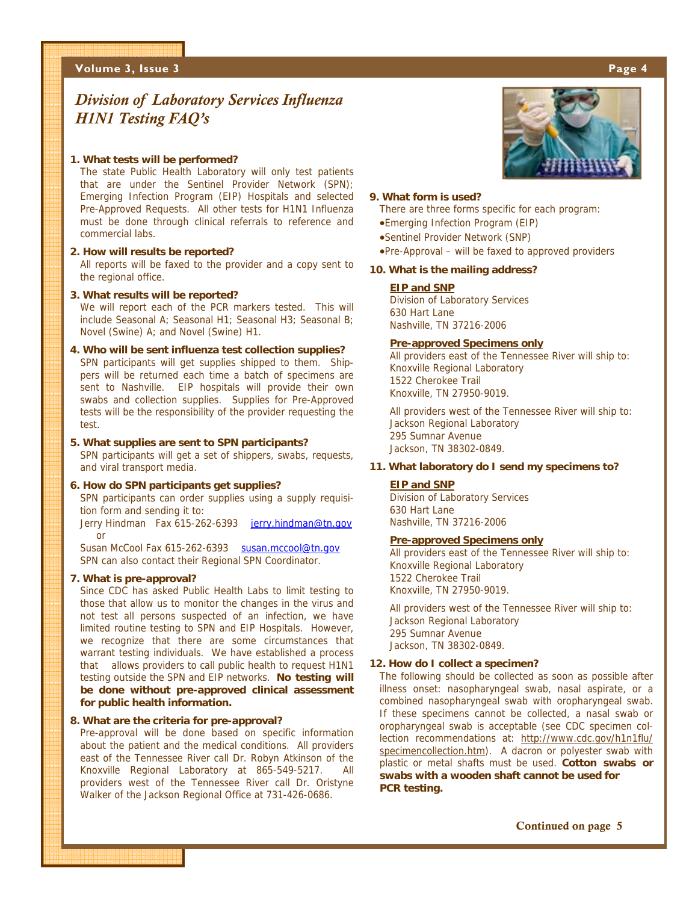#### **Volume 3, Issue 3 Page 4**

# *Division of Laboratory Services Influenza H1N1 Testing FAQ's*

#### **1. What tests will be performed?**

The state Public Health Laboratory will only test patients that are under the Sentinel Provider Network (SPN); Emerging Infection Program (EIP) Hospitals and selected Pre-Approved Requests. All other tests for H1N1 Influenza must be done through clinical referrals to reference and commercial labs.

#### **2. How will results be reported?**

All reports will be faxed to the provider and a copy sent to the regional office.

#### **3. What results will be reported?**

We will report each of the PCR markers tested. This will include Seasonal A; Seasonal H1; Seasonal H3; Seasonal B; Novel (Swine) A; and Novel (Swine) H1.

**4. Who will be sent influenza test collection supplies?**  SPN participants will get supplies shipped to them. Shippers will be returned each time a batch of specimens are sent to Nashville. EIP hospitals will provide their own swabs and collection supplies. Supplies for Pre-Approved tests will be the responsibility of the provider requesting the test.

#### **5. What supplies are sent to SPN participants?**

SPN participants will get a set of shippers, swabs, requests, and viral transport media.

#### **6. How do SPN participants get supplies?**

SPN participants can order supplies using a supply requisition form and sending it to:

Jerry Hindman Fax 615-262-6393 jerry.hindman@tn.gov or

Susan McCool Fax 615-262-6393 susan.mccool@tn.gov SPN can also contact their Regional SPN Coordinator.

#### **7. What is pre-approval?**

Since CDC has asked Public Health Labs to limit testing to those that allow us to monitor the changes in the virus and not test all persons suspected of an infection, we have limited routine testing to SPN and EIP Hospitals. However, we recognize that there are some circumstances that warrant testing individuals. We have established a process that allows providers to call public health to request H1N1 testing outside the SPN and EIP networks. **No testing will be done without pre-approved clinical assessment for public health information.** 

#### **8. What are the criteria for pre-approval?**

Pre-approval will be done based on specific information about the patient and the medical conditions. All providers east of the Tennessee River call Dr. Robyn Atkinson of the Knoxville Regional Laboratory at 865-549-5217. All providers west of the Tennessee River call Dr. Oristyne Walker of the Jackson Regional Office at 731-426-0686.



#### **9. What form is used?**

There are three forms specific for each program:

- •Emerging Infection Program (EIP)
- •Sentinel Provider Network (SNP)
- •Pre-Approval will be faxed to approved providers

#### **10. What is the mailing address?**

#### **EIP and SNP**

Division of Laboratory Services 630 Hart Lane Nashville, TN 37216-2006

#### **Pre-approved Specimens only**

All providers east of the Tennessee River will ship to: Knoxville Regional Laboratory 1522 Cherokee Trail Knoxville, TN 27950-9019.

All providers west of the Tennessee River will ship to: Jackson Regional Laboratory 295 Sumnar Avenue Jackson, TN 38302-0849.

#### **11. What laboratory do I send my specimens to?**

#### **EIP and SNP**

Division of Laboratory Services 630 Hart Lane Nashville, TN 37216-2006

#### **Pre-approved Specimens only**

All providers east of the Tennessee River will ship to: Knoxville Regional Laboratory 1522 Cherokee Trail Knoxville, TN 27950-9019.

All providers west of the Tennessee River will ship to: Jackson Regional Laboratory 295 Sumnar Avenue Jackson, TN 38302-0849.

#### **12. How do I collect a specimen?**

The following should be collected as soon as possible after illness onset: nasopharyngeal swab, nasal aspirate, or a combined nasopharyngeal swab with oropharyngeal swab. If these specimens cannot be collected, a nasal swab or oropharyngeal swab is acceptable (see CDC specimen collection recommendations at: http://www.cdc.gov/h1n1flu/ specimencollection.htm). A dacron or polyester swab with plastic or metal shafts must be used. **Cotton swabs or swabs with a wooden shaft cannot be used for PCR testing.**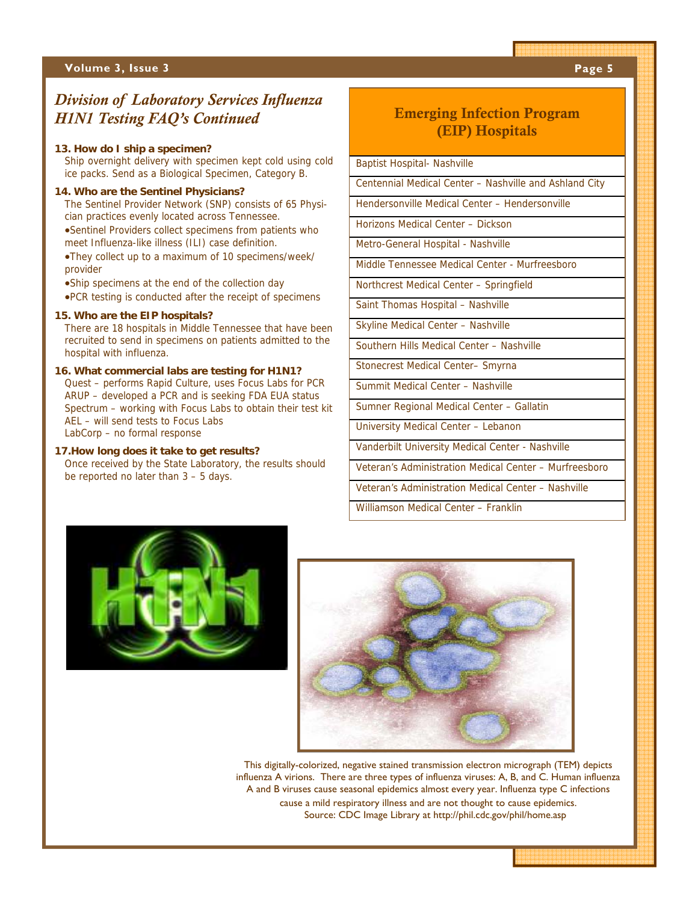#### **Volume 3, Issue 3** Page 5 **Page 5**

## *Division of Laboratory Services Influenza H1N1 Testing FAQ's Continued* Emerging Infection Program

#### **13. How do I ship a specimen?**

Ship overnight delivery with specimen kept cold using cold ice packs. Send as a Biological Specimen, Category B.

#### **14. Who are the Sentinel Physicians?**

The Sentinel Provider Network (SNP) consists of 65 Physician practices evenly located across Tennessee. •Sentinel Providers collect specimens from patients who

meet Influenza-like illness (ILI) case definition. •They collect up to a maximum of 10 specimens/week/

provider

•Ship specimens at the end of the collection day

•PCR testing is conducted after the receipt of specimens

#### **15. Who are the EIP hospitals?**

There are 18 hospitals in Middle Tennessee that have been recruited to send in specimens on patients admitted to the hospital with influenza.

#### **16. What commercial labs are testing for H1N1?**

Quest – performs Rapid Culture, uses Focus Labs for PCR ARUP – developed a PCR and is seeking FDA EUA status Spectrum – working with Focus Labs to obtain their test kit AEL – will send tests to Focus Labs LabCorp – no formal response

**17.How long does it take to get results?**  Once received by the State Laboratory, the results should be reported no later than 3 – 5 days.

# (EIP) Hospitals

Baptist Hospital- Nashville

Centennial Medical Center – Nashville and Ashland City

Hendersonville Medical Center – Hendersonville

Horizons Medical Center – Dickson

Metro-General Hospital - Nashville

Middle Tennessee Medical Center - Murfreesboro

Northcrest Medical Center – Springfield

Saint Thomas Hospital – Nashville

Skyline Medical Center – Nashville

Southern Hills Medical Center – Nashville

Stonecrest Medical Center– Smyrna

Summit Medical Center – Nashville

Sumner Regional Medical Center – Gallatin

University Medical Center – Lebanon

Vanderbilt University Medical Center - Nashville

Veteran's Administration Medical Center – Murfreesboro

Veteran's Administration Medical Center – Nashville

Williamson Medical Center – Franklin





This digitally-colorized, negative stained transmission electron micrograph (TEM) depicts influenza A virions. There are three types of influenza viruses: A, B, and C. Human influenza A and B viruses cause seasonal epidemics almost every year. Influenza type C infections cause a mild respiratory illness and are not thought to cause epidemics. Source: CDC Image Library at http://phil.cdc.gov/phil/home.asp